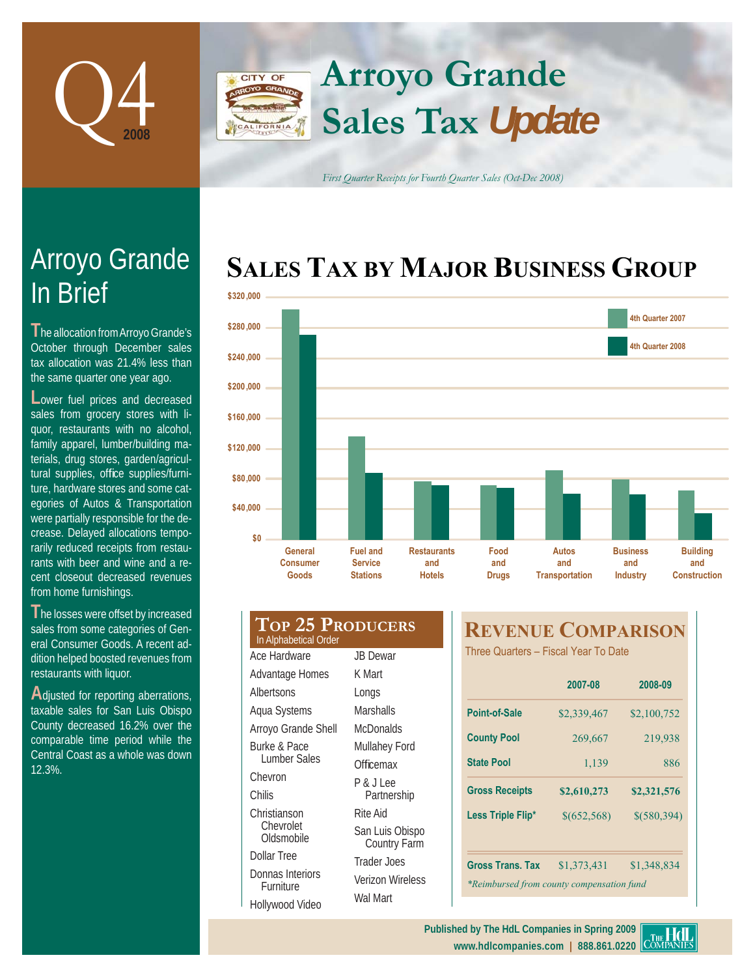

## **Arroyo Grande** CITY OF **Sales Tax** *Update* **IFORNIA**

*First Quarter Receipts for Fourth Quarter Sales (Oct-Dec 2008)*

# SALES TAX BY MAJOR BUSINESS GROUP



| \$200,000 |                                                  |                                                      |                                            |                             |                                       |                                           |  |
|-----------|--------------------------------------------------|------------------------------------------------------|--------------------------------------------|-----------------------------|---------------------------------------|-------------------------------------------|--|
|           |                                                  |                                                      |                                            |                             |                                       |                                           |  |
| \$160,000 |                                                  |                                                      |                                            |                             |                                       |                                           |  |
| \$120,000 |                                                  |                                                      |                                            |                             |                                       |                                           |  |
| \$80,000  |                                                  |                                                      |                                            |                             |                                       |                                           |  |
| \$40,000  |                                                  |                                                      |                                            |                             |                                       |                                           |  |
|           | \$0                                              |                                                      |                                            |                             |                                       |                                           |  |
|           | General<br><b>Consumer</b><br>Goods              | <b>Fuel and</b><br><b>Service</b><br><b>Stations</b> | <b>Restaurants</b><br>and<br><b>Hotels</b> | Food<br>and<br><b>Drugs</b> | Autos<br>and<br><b>Transportation</b> | <b>Business</b><br>and<br><b>Industry</b> |  |
|           |                                                  |                                                      |                                            |                             |                                       |                                           |  |
|           | <b>TOP 25 PRODUCERS</b><br>In Alphabetical Order |                                                      |                                            |                             | <b>REVENUE COMPARISO</b>              |                                           |  |
|           | Ace Hardware                                     | <b>JB</b> Dewar                                      |                                            |                             | Three Quarters - Fiscal Year To Date  |                                           |  |
|           | Advantage Homes                                  | K Mart                                               |                                            |                             |                                       |                                           |  |
|           | Albertsons                                       | Longs                                                |                                            |                             | 2007-08                               | 2008-0                                    |  |

quor, restaurants with no alcohol, family apparel, lumber/building materials, drug stores, garden/agricultural supplies, office supplies/furni-

**T**he allocation from Arroyo Grande's October through December sales tax allocation was 21.4% less than the same quarter one year ago. Lower fuel prices and decreased sales from grocery stores with li-

Arroyo Grande

In Brief

ture, hardware stores and some categories of Autos & Transportation were partially responsible for the decrease. Delayed allocations temporarily reduced receipts from restaurants with beer and wine and a recent closeout decreased revenues from home furnishings.

**T**he losses were offset by increased sales from some categories of General Consumer Goods. A recent addition helped boosted revenues from restaurants with liquor.

Adjusted for reporting aberrations, taxable sales for San Luis Obispo County decreased 16.2% over the comparable time period while the Central Coast as a whole was down 12.3%.

| <b>TOP 25 PRODUCERS</b><br>In Alphabetical Order |                                 |  |  |
|--------------------------------------------------|---------------------------------|--|--|
| Ace Hardware                                     | <b>JB</b> Dewar                 |  |  |
| Advantage Homes                                  | K Mart                          |  |  |
| Albertsons                                       | Longs                           |  |  |
| Aqua Systems                                     | Marshalls                       |  |  |
| Arroyo Grande Shell                              | McDonalds                       |  |  |
| Burke & Pace                                     | Mullahey Ford                   |  |  |
| Lumber Sales                                     | Officemax                       |  |  |
| Chevron                                          | P & J Lee                       |  |  |
| Chilis                                           | Partnership                     |  |  |
| Christianson                                     | Rite Aid                        |  |  |
| Chevrolet<br>Oldsmobile                          | San Luis Obispo<br>Country Farm |  |  |
| Dollar Tree                                      | Trader Joes                     |  |  |
| Donnas Interiors<br>Furniture                    | Verizon Wireless                |  |  |
| Hollywood Video                                  | Wal Mart                        |  |  |

# **REVENUE COMPARISON**

|                                                                      | 2007-08       | 2008-09       |  |  |
|----------------------------------------------------------------------|---------------|---------------|--|--|
| Point-of-Sale                                                        | \$2,339,467   | \$2,100,752   |  |  |
| <b>County Pool</b>                                                   | 269,667       | 219,938       |  |  |
| <b>State Pool</b>                                                    | 1,139         | 886           |  |  |
| <b>Gross Receipts</b>                                                | \$2,610,273   | \$2,321,576   |  |  |
| Less Triple Flip*                                                    | \$ (652, 568) | $$$ (580,394) |  |  |
|                                                                      |               |               |  |  |
| <b>Gross Trans. Tax</b><br>*Reimbursed from county compensation fund | \$1,373,431   | \$1,348,834   |  |  |
|                                                                      |               |               |  |  |